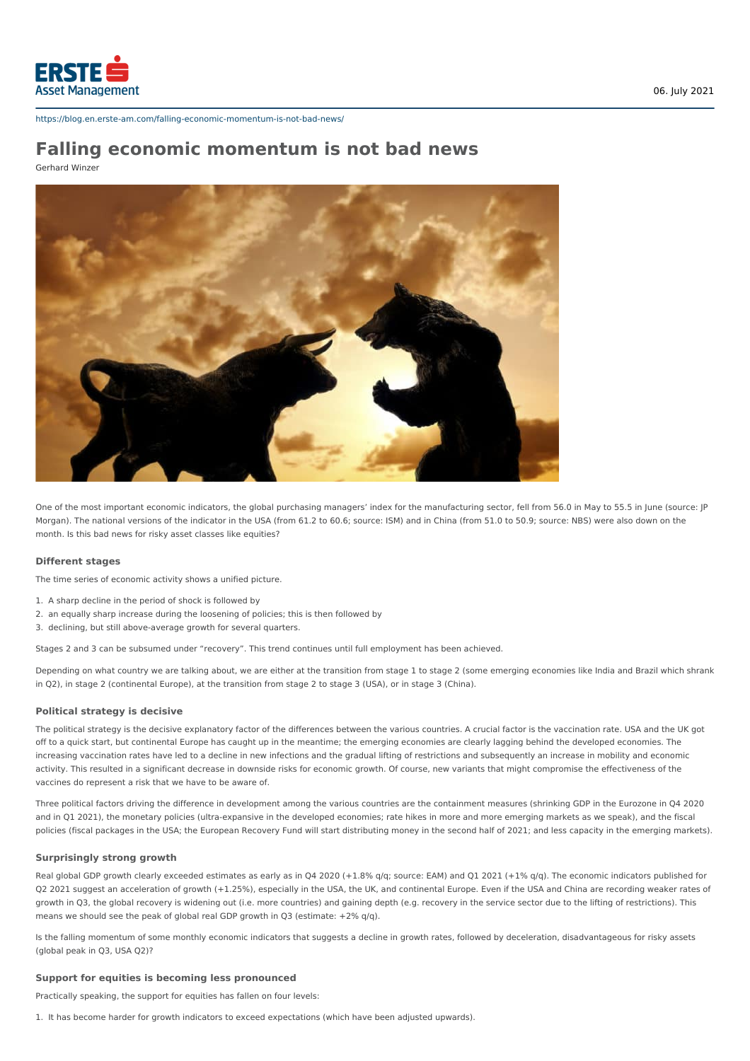

https://blog.en.erste-am.com/falling-economic-momentum-is-not-bad-news/

# **Falling economic momentum is not bad news**

Gerhard Winzer



One of the most important economic indicators, the global purchasing managers' index for the manufacturing sector, fell from 56.0 in May to 55.5 in June (source: JP Morgan). The national versions of the indicator in the USA (from 61.2 to 60.6; source: ISM) and in China (from 51.0 to 50.9; source: NBS) were also down on the month. Is this bad news for risky asset classes like equities?

### **Different stages**

The time series of economic activity shows a unified picture.

- 1. A sharp decline in the period of shock is followed by
- 2. an equally sharp increase during the loosening of policies; this is then followed by
- 3. declining, but still above-average growth for several quarters.

Stages 2 and 3 can be subsumed under "recovery". This trend continues until full employment has been achieved.

Depending on what country we are talking about, we are either at the transition from stage 1 to stage 2 (some emerging economies like India and Brazil which shrank in Q2), in stage 2 (continental Europe), at the transition from stage 2 to stage 3 (USA), or in stage 3 (China).

#### **Political strategy is decisive**

The political strategy is the decisive explanatory factor of the differences between the various countries. A crucial factor is the vaccination rate. USA and the UK got off to a quick start, but continental Europe has caught up in the meantime; the emerging economies are clearly lagging behind the developed economies. The increasing vaccination rates have led to a decline in new infections and the gradual lifting of restrictions and subsequently an increase in mobility and economic activity. This resulted in a significant decrease in downside risks for economic growth. Of course, new variants that might compromise the effectiveness of the vaccines do represent a risk that we have to be aware of.

Three political factors driving the difference in development among the various countries are the containment measures (shrinking GDP in the Eurozone in Q4 2020 and in Q1 2021), the monetary policies (ultra-expansive in the developed economies; rate hikes in more and more emerging markets as we speak), and the fiscal policies (fiscal packages in the USA; the European Recovery Fund will start distributing money in the second half of 2021; and less capacity in the emerging markets).

#### **Surprisingly strong growth**

Real global GDP growth clearly exceeded estimates as early as in Q4 2020 (+1.8% q/q; source: EAM) and Q1 2021 (+1% q/q). The economic indicators published for Q2 2021 suggest an acceleration of growth (+1.25%), especially in the USA, the UK, and continental Europe. Even if the USA and China are recording weaker rates of growth in Q3, the global recovery is widening out (i.e. more countries) and gaining depth (e.g. recovery in the service sector due to the lifting of restrictions). This means we should see the peak of global real GDP growth in Q3 (estimate: +2% q/q).

Is the falling momentum of some monthly economic indicators that suggests a decline in growth rates, followed by deceleration, disadvantageous for risky assets (global peak in Q3, USA Q2)?

## **Support for equities is becoming less pronounced**

Practically speaking, the support for equities has fallen on four levels:

1. It has become harder for growth indicators to exceed expectations (which have been adjusted upwards).